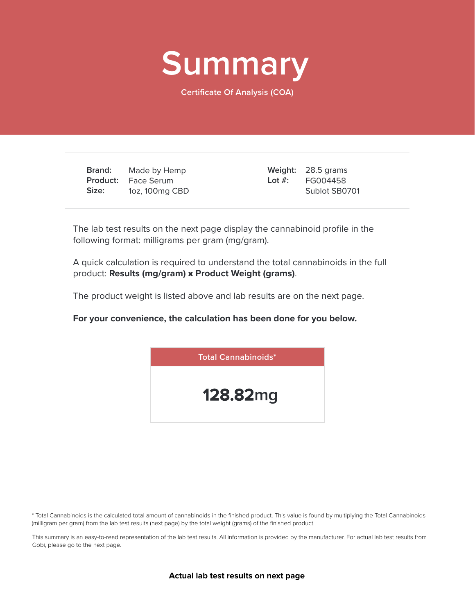

**Certificate Of Analysis (COA)**

**Brand: Product:** Face Serum **Size:** Made by Hemp 1oz, 100mg CBD

28.5 grams **Weight:** FG004458 Sublot SB0701 **Lot #:**

The lab test results on the next page display the cannabinoid profile in the following format: milligrams per gram (mg/gram).

A quick calculation is required to understand the total cannabinoids in the full product: **Results (mg/gram)** x **Product Weight (grams)**.

The product weight is listed above and lab results are on the next page.

**For your convenience, the calculation has been done for you below.**



\* Total Cannabinoids is the calculated total amount of cannabinoids in the finished product. This value is found by multiplying the Total Cannabinoids (milligram per gram) from the lab test results (next page) by the total weight (grams) of the finished product.

This summary is an easy-to-read representation of the lab test results. All information is provided by the manufacturer. For actual lab test results from Gobi, please go to the next page.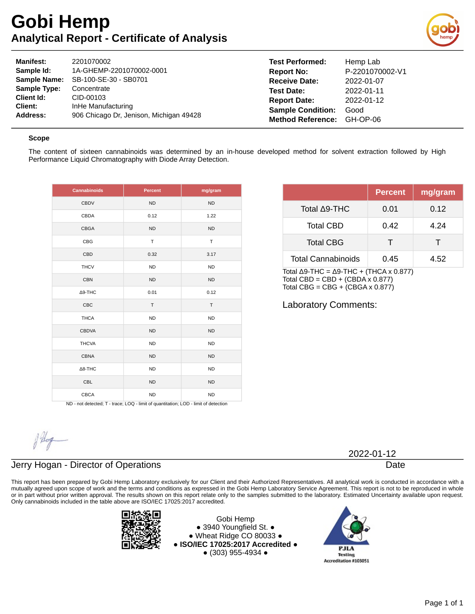# **Gobi Hemp Analytical Report - Certificate of Analysis**



| <b>Manifest:</b>    | 2201070002                              | <b>Test Performed:</b>   | Hemp Lab        |
|---------------------|-----------------------------------------|--------------------------|-----------------|
| Sample Id:          | 1A-GHEMP-2201070002-0001                | <b>Report No:</b>        | P-2201070002-V1 |
| <b>Sample Name:</b> | SB-100-SE-30 - SB0701                   | <b>Receive Date:</b>     | 2022-01-07      |
| <b>Sample Type:</b> | Concentrate                             | <b>Test Date:</b>        | 2022-01-11      |
| Client Id:          | CID-00103                               | <b>Report Date:</b>      | 2022-01-12      |
| Client:             | InHe Manufacturing                      | <b>Sample Condition:</b> | Good            |
| Address:            | 906 Chicago Dr. Jenison, Michigan 49428 | <b>Method Reference:</b> | GH-OP-06        |

#### **Scope**

The content of sixteen cannabinoids was determined by an in-house developed method for solvent extraction followed by High Performance Liquid Chromatography with Diode Array Detection.

| <b>Cannabinoids</b> | <b>Percent</b> | mg/gram   |
|---------------------|----------------|-----------|
| <b>CBDV</b>         | <b>ND</b>      | <b>ND</b> |
| CBDA                | 0.12           | 1.22      |
| <b>CBGA</b>         | <b>ND</b>      | <b>ND</b> |
| CBG                 | T              | T         |
| CBD                 | 0.32           | 3.17      |
| <b>THCV</b>         | <b>ND</b>      | <b>ND</b> |
| <b>CBN</b>          | <b>ND</b>      | <b>ND</b> |
| $\Delta$ 9-THC      | 0.01           | 0.12      |
| CBC                 | T              | T         |
| <b>THCA</b>         | <b>ND</b>      | <b>ND</b> |
| <b>CBDVA</b>        | <b>ND</b>      | <b>ND</b> |
| <b>THCVA</b>        | <b>ND</b>      | <b>ND</b> |
| <b>CBNA</b>         | <b>ND</b>      | <b>ND</b> |
| $\Delta$ 8-THC      | <b>ND</b>      | <b>ND</b> |
| CBL                 | <b>ND</b>      | <b>ND</b> |
| <b>CBCA</b>         | <b>ND</b>      | <b>ND</b> |

|                           | <b>Percent</b> | mg/gram |
|---------------------------|----------------|---------|
| Total ∆9-THC              | 0.01           | 0.12    |
| <b>Total CBD</b>          | 0.42           | 4.24    |
| <b>Total CBG</b>          | т              | Т       |
| <b>Total Cannabinoids</b> | 0.45           | 4.52    |

Total Δ9-THC =  $Δ9-THC + (THCA × 0.877)$ Total CBD = CBD +  $(CBDA \times 0.877)$ Total CBG =  $CBG + (CBGA \times 0.877)$ 

Laboratory Comments:

ND - not detected; T - trace; LOQ - limit of quantitation; LOD - limit of detection

### Jerry Hogan - Director of Operations

This report has been prepared by Gobi Hemp Laboratory exclusively for our Client and their Authorized Representatives. All analytical work is conducted in accordance with a mutually agreed upon scope of work and the terms and conditions as expressed in the Gobi Hemp Laboratory Service Agreement. This report is not to be reproduced in whole or in part without prior written approval. The results shown on this report relate only to the samples submitted to the laboratory. Estimated Uncertainty available upon request. Only cannabinoids included in the table above are ISO/IEC 17025:2017 accredited.



Gobi Hemp ● 3940 Youngfield St. ● ● Wheat Ridge CO 80033 ● **● ISO/IEC 17025:2017 Accredited ●** ● (303) 955-4934 ●



2022-01-12

Date